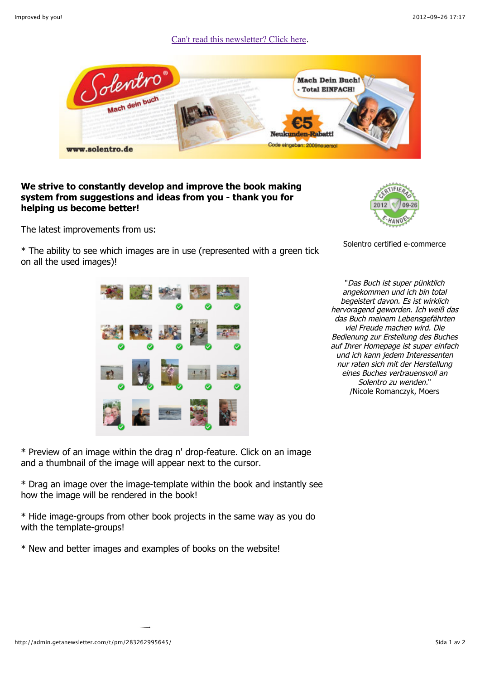## [Can't read this newsletter? Click here.](http://admin.getanewsletter.com/t/pm/283262995645/)



## **We strive to constantly develop and improve the book making system from suggestions and ideas from you - thank you for helping us become better!**

The latest improvements from us:

\* The ability to see which images are in use (represented with a green tick on all the used images)!



Solentro certified e-commerce

"Das Buch ist super pünktlich angekommen und ich bin total begeistert davon. Es ist wirklich hervoragend geworden. Ich weiß das das Buch meinem Lebensgefährten viel Freude machen wird. Die Bedienung zur Erstellung des Buches auf Ihrer Homepage ist super einfach und ich kann jedem Interessenten nur raten sich mit der Herstellung eines Buches vertrauensvoll an Solentro zu wenden." /Nicole Romanczyk, Moers

\* Preview of an image within the drag n' drop-feature. Click on an image and a thumbnail of the image will appear next to the cursor.

\* Drag an image over the image-template within the book and instantly see how the image will be rendered in the book!

\* Hide image-groups from other book projects in the same way as you do with the template-groups!

\* New and better images and examples of books on the website!